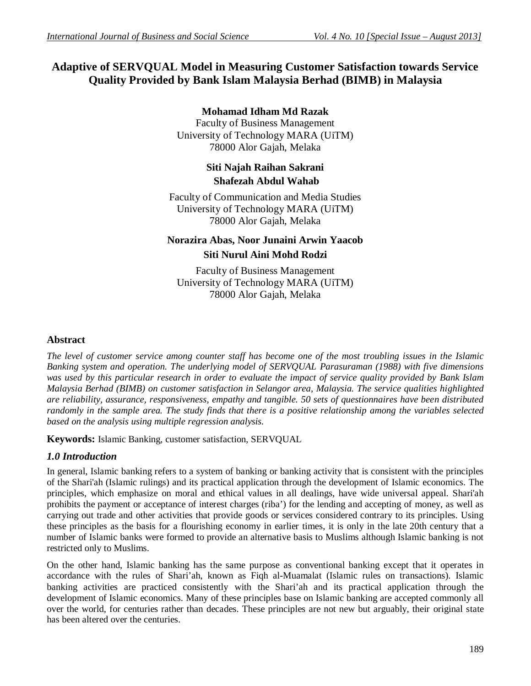# **Adaptive of SERVQUAL Model in Measuring Customer Satisfaction towards Service Quality Provided by Bank Islam Malaysia Berhad (BIMB) in Malaysia**

### **Mohamad Idham Md Razak**

Faculty of Business Management University of Technology MARA (UiTM) 78000 Alor Gajah, Melaka

# **Siti Najah Raihan Sakrani Shafezah Abdul Wahab**

Faculty of Communication and Media Studies University of Technology MARA (UiTM) 78000 Alor Gajah, Melaka

# **Norazira Abas, Noor Junaini Arwin Yaacob Siti Nurul Aini Mohd Rodzi**

Faculty of Business Management University of Technology MARA (UiTM) 78000 Alor Gajah, Melaka

### **Abstract**

*The level of customer service among counter staff has become one of the most troubling issues in the Islamic Banking system and operation. The underlying model of SERVQUAL Parasuraman (1988) with five dimensions was used by this particular research in order to evaluate the impact of service quality provided by Bank Islam Malaysia Berhad (BIMB) on customer satisfaction in Selangor area, Malaysia. The service qualities highlighted are reliability, assurance, responsiveness, empathy and tangible. 50 sets of questionnaires have been distributed randomly in the sample area. The study finds that there is a positive relationship among the variables selected based on the analysis using multiple regression analysis.*

**Keywords:** Islamic Banking, customer satisfaction, SERVQUAL

# *1.0 Introduction*

In general, Islamic banking refers to a system of banking or banking activity that is consistent with the principles of the Shari'ah (Islamic rulings) and its practical application through the development of Islamic economics. The principles, which emphasize on moral and ethical values in all dealings, have wide universal appeal. Shari'ah prohibits the payment or acceptance of interest charges (riba') for the lending and accepting of money, as well as carrying out trade and other activities that provide goods or services considered contrary to its principles. Using these principles as the basis for a flourishing economy in earlier times, it is only in the late 20th century that a number of Islamic banks were formed to provide an alternative basis to Muslims although Islamic banking is not restricted only to Muslims.

On the other hand, Islamic banking has the same purpose as conventional banking except that it operates in accordance with the rules of Shari'ah, known as Fiqh al-Muamalat (Islamic rules on transactions). Islamic banking activities are practiced consistently with the Shari'ah and its practical application through the development of Islamic economics. Many of these principles base on Islamic banking are accepted commonly all over the world, for centuries rather than decades. These principles are not new but arguably, their original state has been altered over the centuries.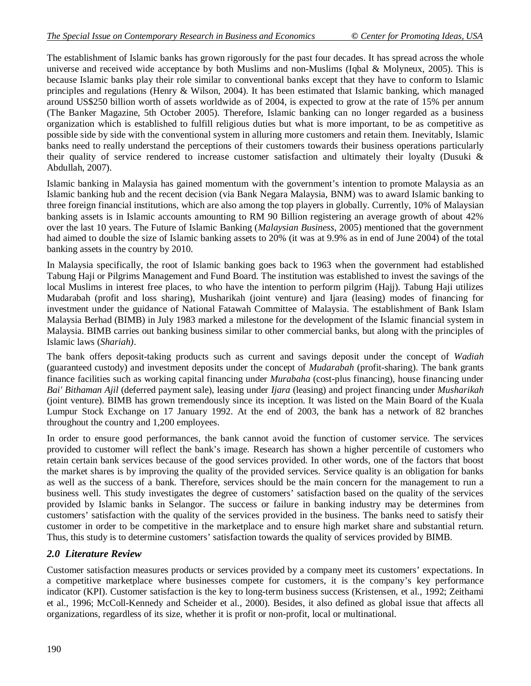The establishment of Islamic banks has grown rigorously for the past four decades. It has spread across the whole universe and received wide acceptance by both Muslims and non-Muslims (Iqbal & Molyneux, 2005). This is because Islamic banks play their role similar to conventional banks except that they have to conform to Islamic principles and regulations (Henry & Wilson, 2004). It has been estimated that Islamic banking, which managed around US\$250 billion worth of assets worldwide as of 2004, is expected to grow at the rate of 15% per annum (The Banker Magazine, 5th October 2005). Therefore, Islamic banking can no longer regarded as a business organization which is established to fulfill religious duties but what is more important, to be as competitive as possible side by side with the conventional system in alluring more customers and retain them. Inevitably, Islamic banks need to really understand the perceptions of their customers towards their business operations particularly their quality of service rendered to increase customer satisfaction and ultimately their loyalty (Dusuki  $\&$ Abdullah, 2007).

Islamic banking in Malaysia has gained momentum with the government's intention to promote Malaysia as an Islamic banking hub and the recent decision (via Bank Negara Malaysia, BNM) was to award Islamic banking to three foreign financial institutions, which are also among the top players in globally. Currently, 10% of Malaysian banking assets is in Islamic accounts amounting to RM 90 Billion registering an average growth of about 42% over the last 10 years. The Future of Islamic Banking (*Malaysian Business*, 2005) mentioned that the government had aimed to double the size of Islamic banking assets to 20% (it was at 9.9% as in end of June 2004) of the total banking assets in the country by 2010.

In Malaysia specifically, the root of Islamic banking goes back to 1963 when the government had established Tabung Haji or Pilgrims Management and Fund Board. The institution was established to invest the savings of the local Muslims in interest free places, to who have the intention to perform pilgrim (Hajj). Tabung Haji utilizes Mudarabah (profit and loss sharing), Musharikah (joint venture) and Ijara (leasing) modes of financing for investment under the guidance of National Fatawah Committee of Malaysia. The establishment of Bank Islam Malaysia Berhad (BIMB) in July 1983 marked a milestone for the development of the Islamic financial system in Malaysia. BIMB carries out banking business similar to other commercial banks, but along with the principles of Islamic laws (*Shariah)*.

The bank offers deposit-taking products such as current and savings deposit under the concept of *Wadiah*  (guaranteed custody) and investment deposits under the concept of *Mudarabah* (profit-sharing). The bank grants finance facilities such as working capital financing under *Murabaha* (cost-plus financing), house financing under *Bai' Bithaman Ajil* (deferred payment sale), leasing under *Ijara* (leasing) and project financing under *Musharikah* (joint venture). BIMB has grown tremendously since its inception. It was listed on the Main Board of the Kuala Lumpur Stock Exchange on 17 January 1992. At the end of 2003, the bank has a network of 82 branches throughout the country and 1,200 employees.

In order to ensure good performances, the bank cannot avoid the function of customer service. The services provided to customer will reflect the bank's image. Research has shown a higher percentile of customers who retain certain bank services because of the good services provided. In other words, one of the factors that boost the market shares is by improving the quality of the provided services. Service quality is an obligation for banks as well as the success of a bank. Therefore, services should be the main concern for the management to run a business well. This study investigates the degree of customers' satisfaction based on the quality of the services provided by Islamic banks in Selangor. The success or failure in banking industry may be determines from customers' satisfaction with the quality of the services provided in the business. The banks need to satisfy their customer in order to be competitive in the marketplace and to ensure high market share and substantial return. Thus, this study is to determine customers' satisfaction towards the quality of services provided by BIMB.

### *2.0 Literature Review*

Customer satisfaction measures products or services provided by a company meet its customers' expectations. In a competitive marketplace where businesses compete for customers, it is the company's key performance indicator (KPI). Customer satisfaction is the key to long-term business success (Kristensen, et al., 1992; Zeithami et al., 1996; McColl-Kennedy and Scheider et al., 2000). Besides, it also defined as global issue that affects all organizations, regardless of its size, whether it is profit or non-profit, local or multinational.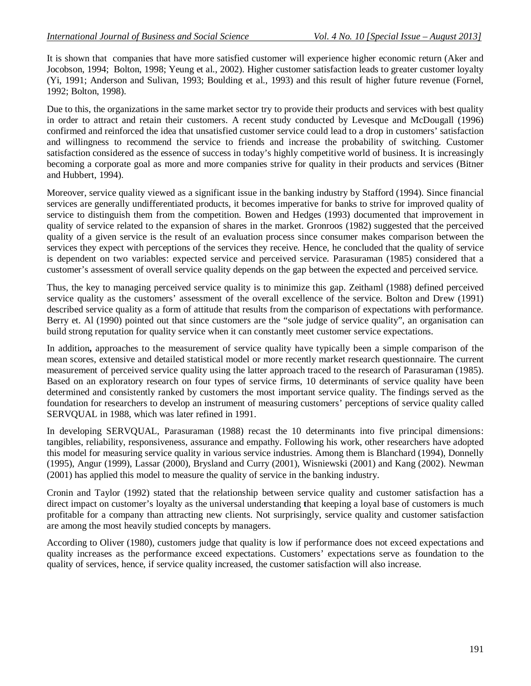It is shown that companies that have more satisfied customer will experience higher economic return (Aker and Jocobson, 1994; Bolton, 1998; Yeung et al., 2002). Higher customer satisfaction leads to greater customer loyalty (Yi, 1991; Anderson and Sulivan, 1993; Boulding et al., 1993) and this result of higher future revenue (Fornel, 1992; Bolton, 1998).

Due to this, the organizations in the same market sector try to provide their products and services with best quality in order to attract and retain their customers. A recent study conducted by Levesque and McDougall (1996) confirmed and reinforced the idea that unsatisfied customer service could lead to a drop in customers' satisfaction and willingness to recommend the service to friends and increase the probability of switching. Customer satisfaction considered as the essence of success in today's highly competitive world of business. It is increasingly becoming a corporate goal as more and more companies strive for quality in their products and services (Bitner and Hubbert, 1994).

Moreover, service quality viewed as a significant issue in the banking industry by Stafford (1994). Since financial services are generally undifferentiated products, it becomes imperative for banks to strive for improved quality of service to distinguish them from the competition. Bowen and Hedges (1993) documented that improvement in quality of service related to the expansion of shares in the market. Gronroos (1982) suggested that the perceived quality of a given service is the result of an evaluation process since consumer makes comparison between the services they expect with perceptions of the services they receive. Hence, he concluded that the quality of service is dependent on two variables: expected service and perceived service. Parasuraman (1985) considered that a customer's assessment of overall service quality depends on the gap between the expected and perceived service.

Thus, the key to managing perceived service quality is to minimize this gap. Zeithaml (1988) defined perceived service quality as the customers' assessment of the overall excellence of the service. Bolton and Drew (1991) described service quality as a form of attitude that results from the comparison of expectations with performance. Berry et. Al (1990) pointed out that since customers are the "sole judge of service quality", an organisation can build strong reputation for quality service when it can constantly meet customer service expectations.

In addition**,** approaches to the measurement of service quality have typically been a simple comparison of the mean scores, extensive and detailed statistical model or more recently market research questionnaire. The current measurement of perceived service quality using the latter approach traced to the research of Parasuraman (1985). Based on an exploratory research on four types of service firms, 10 determinants of service quality have been determined and consistently ranked by customers the most important service quality. The findings served as the foundation for researchers to develop an instrument of measuring customers' perceptions of service quality called SERVQUAL in 1988, which was later refined in 1991.

In developing SERVQUAL, Parasuraman (1988) recast the 10 determinants into five principal dimensions: tangibles, reliability, responsiveness, assurance and empathy. Following his work, other researchers have adopted this model for measuring service quality in various service industries. Among them is Blanchard (1994), Donnelly (1995), Angur (1999), Lassar (2000), Brysland and Curry (2001), Wisniewski (2001) and Kang (2002). Newman (2001) has applied this model to measure the quality of service in the banking industry.

Cronin and Taylor (1992) stated that the relationship between service quality and customer satisfaction has a direct impact on customer's loyalty as the universal understanding **t**hat keeping a loyal base of customers is much profitable for a company than attracting new clients. Not surprisingly, service quality and customer satisfaction are among the most heavily studied concepts by managers.

According to Oliver (1980), customers judge that quality is low if performance does not exceed expectations and quality increases as the performance exceed expectations. Customers' expectations serve as foundation to the quality of services, hence, if service quality increased, the customer satisfaction will also increase.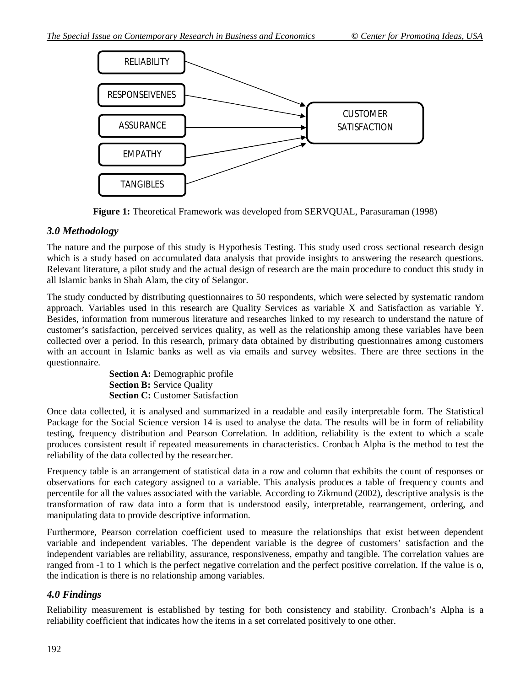

**Figure 1:** Theoretical Framework was developed from SERVQUAL, Parasuraman (1998)

### *3.0 Methodology*

The nature and the purpose of this study is Hypothesis Testing. This study used cross sectional research design which is a study based on accumulated data analysis that provide insights to answering the research questions. Relevant literature, a pilot study and the actual design of research are the main procedure to conduct this study in all Islamic banks in Shah Alam, the city of Selangor.

The study conducted by distributing questionnaires to 50 respondents, which were selected by systematic random approach. Variables used in this research are Quality Services as variable X and Satisfaction as variable Y. Besides, information from numerous literature and researches linked to my research to understand the nature of customer's satisfaction, perceived services quality, as well as the relationship among these variables have been collected over a period. In this research, primary data obtained by distributing questionnaires among customers with an account in Islamic banks as well as via emails and survey websites. There are three sections in the questionnaire.

> **Section A:** Demographic profile **Section B: Service Quality Section C:** Customer Satisfaction

Once data collected, it is analysed and summarized in a readable and easily interpretable form. The Statistical Package for the Social Science version 14 is used to analyse the data. The results will be in form of reliability testing, frequency distribution and Pearson Correlation. In addition, reliability is the extent to which a scale produces consistent result if repeated measurements in characteristics. Cronbach Alpha is the method to test the reliability of the data collected by the researcher.

Frequency table is an arrangement of statistical data in a row and column that exhibits the count of responses or observations for each category assigned to a variable. This analysis produces a table of frequency counts and percentile for all the values associated with the variable. According to Zikmund (2002), descriptive analysis is the transformation of raw data into a form that is understood easily, interpretable, rearrangement, ordering, and manipulating data to provide descriptive information.

Furthermore, Pearson correlation coefficient used to measure the relationships that exist between dependent variable and independent variables. The dependent variable is the degree of customers' satisfaction and the independent variables are reliability, assurance, responsiveness, empathy and tangible. The correlation values are ranged from -1 to 1 which is the perfect negative correlation and the perfect positive correlation. If the value is o, the indication is there is no relationship among variables.

# *4.0 Findings*

Reliability measurement is established by testing for both consistency and stability. Cronbach's Alpha is a reliability coefficient that indicates how the items in a set correlated positively to one other.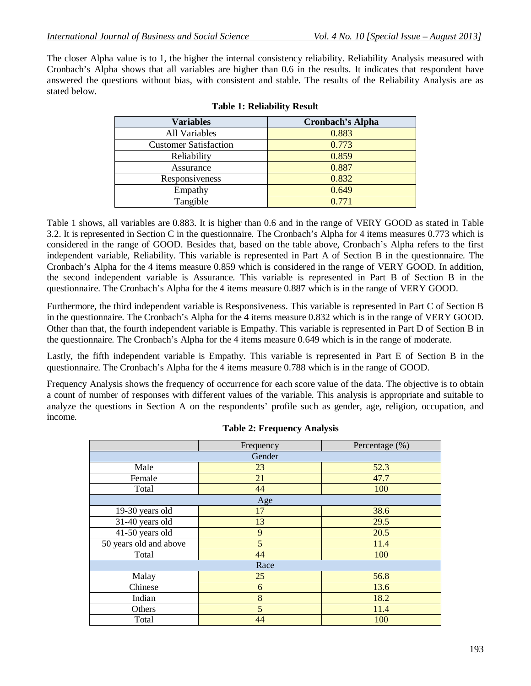The closer Alpha value is to 1, the higher the internal consistency reliability. Reliability Analysis measured with Cronbach's Alpha shows that all variables are higher than 0.6 in the results. It indicates that respondent have answered the questions without bias, with consistent and stable. The results of the Reliability Analysis are as stated below.

| <b>Variables</b>             | <b>Cronbach's Alpha</b> |
|------------------------------|-------------------------|
| All Variables                | 0.883                   |
| <b>Customer Satisfaction</b> | 0.773                   |
| Reliability                  | 0.859                   |
| Assurance                    | 0.887                   |
| Responsiveness               | 0.832                   |
| Empathy                      | 0.649                   |
| Tangible                     | 0.771                   |

#### **Table 1: Reliability Result**

Table 1 shows, all variables are 0.883. It is higher than 0.6 and in the range of VERY GOOD as stated in Table 3.2. It is represented in Section C in the questionnaire. The Cronbach's Alpha for 4 items measures 0.773 which is considered in the range of GOOD. Besides that, based on the table above, Cronbach's Alpha refers to the first independent variable, Reliability. This variable is represented in Part A of Section B in the questionnaire. The Cronbach's Alpha for the 4 items measure 0.859 which is considered in the range of VERY GOOD. In addition, the second independent variable is Assurance. This variable is represented in Part B of Section B in the questionnaire. The Cronbach's Alpha for the 4 items measure 0.887 which is in the range of VERY GOOD.

Furthermore, the third independent variable is Responsiveness. This variable is represented in Part C of Section B in the questionnaire. The Cronbach's Alpha for the 4 items measure 0.832 which is in the range of VERY GOOD. Other than that, the fourth independent variable is Empathy. This variable is represented in Part D of Section B in the questionnaire. The Cronbach's Alpha for the 4 items measure 0.649 which is in the range of moderate.

Lastly, the fifth independent variable is Empathy. This variable is represented in Part E of Section B in the questionnaire. The Cronbach's Alpha for the 4 items measure 0.788 which is in the range of GOOD.

Frequency Analysis shows the frequency of occurrence for each score value of the data. The objective is to obtain a count of number of responses with different values of the variable. This analysis is appropriate and suitable to analyze the questions in Section A on the respondents' profile such as gender, age, religion, occupation, and income.

|                        | Frequency | Percentage $(\%)$ |  |  |  |  |
|------------------------|-----------|-------------------|--|--|--|--|
| Gender                 |           |                   |  |  |  |  |
| Male                   | 23        | 52.3              |  |  |  |  |
| Female                 | 21        | 47.7              |  |  |  |  |
| Total                  | 44        | 100               |  |  |  |  |
| Age                    |           |                   |  |  |  |  |
| 19-30 years old        | 17        | 38.6              |  |  |  |  |
| 31-40 years old        | 13        | 29.5              |  |  |  |  |
| 41-50 years old        | 9         | 20.5              |  |  |  |  |
| 50 years old and above | 5         | 11.4              |  |  |  |  |
| Total                  | 44        | 100               |  |  |  |  |
| Race                   |           |                   |  |  |  |  |
| Malay                  | 25        | 56.8              |  |  |  |  |
| Chinese                | 6         | 13.6              |  |  |  |  |
| Indian                 | 8         | 18.2              |  |  |  |  |
| Others                 | 5         | 11.4              |  |  |  |  |
| Total                  | 44        | 100               |  |  |  |  |

|  | <b>Table 2: Frequency Analysis</b> |  |
|--|------------------------------------|--|
|  |                                    |  |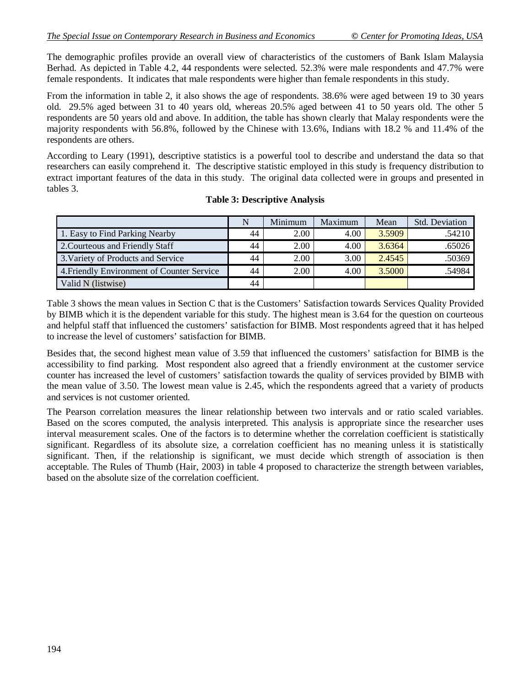The demographic profiles provide an overall view of characteristics of the customers of Bank Islam Malaysia Berhad. As depicted in Table 4.2, 44 respondents were selected. 52.3% were male respondents and 47.7% were female respondents. It indicates that male respondents were higher than female respondents in this study.

From the information in table 2, it also shows the age of respondents. 38.6% were aged between 19 to 30 years old. 29.5% aged between 31 to 40 years old, whereas 20.5% aged between 41 to 50 years old. The other 5 respondents are 50 years old and above. In addition, the table has shown clearly that Malay respondents were the majority respondents with 56.8%, followed by the Chinese with 13.6%, Indians with 18.2 % and 11.4% of the respondents are others.

According to Leary (1991), descriptive statistics is a powerful tool to describe and understand the data so that researchers can easily comprehend it. The descriptive statistic employed in this study is frequency distribution to extract important features of the data in this study. The original data collected were in groups and presented in tables 3.

|                                            | N  | Minimum | Maximum | Mean   | <b>Std.</b> Deviation |
|--------------------------------------------|----|---------|---------|--------|-----------------------|
| 1. Easy to Find Parking Nearby             | 44 | 2.00    | 4.00    | 3.5909 | .54210                |
| 2. Courteous and Friendly Staff            | 44 | 2.00    | 4.00    | 3.6364 | .65026                |
| 3. Variety of Products and Service         | 44 | 2.00    | 3.00    | 2.4545 | .50369                |
| 4. Friendly Environment of Counter Service | 44 | 2.00    | 4.00    | 3.5000 | .54984                |
| Valid N (listwise)                         | 44 |         |         |        |                       |

#### **Table 3: Descriptive Analysis**

Table 3 shows the mean values in Section C that is the Customers' Satisfaction towards Services Quality Provided by BIMB which it is the dependent variable for this study. The highest mean is 3.64 for the question on courteous and helpful staff that influenced the customers' satisfaction for BIMB. Most respondents agreed that it has helped to increase the level of customers' satisfaction for BIMB.

Besides that, the second highest mean value of 3.59 that influenced the customers' satisfaction for BIMB is the accessibility to find parking. Most respondent also agreed that a friendly environment at the customer service counter has increased the level of customers' satisfaction towards the quality of services provided by BIMB with the mean value of 3.50. The lowest mean value is 2.45, which the respondents agreed that a variety of products and services is not customer oriented.

The Pearson correlation measures the linear relationship between two intervals and or ratio scaled variables. Based on the scores computed, the analysis interpreted. This analysis is appropriate since the researcher uses interval measurement scales. One of the factors is to determine whether the correlation coefficient is statistically significant. Regardless of its absolute size, a correlation coefficient has no meaning unless it is statistically significant. Then, if the relationship is significant, we must decide which strength of association is then acceptable. The Rules of Thumb (Hair, 2003) in table 4 proposed to characterize the strength between variables, based on the absolute size of the correlation coefficient.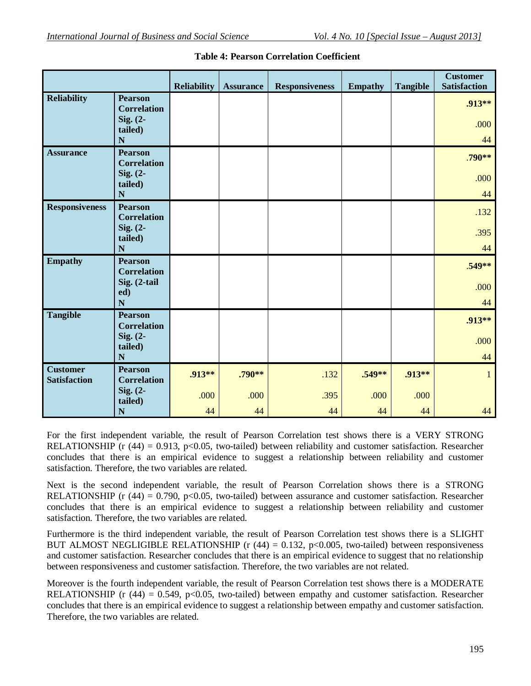|                       |                                      | <b>Reliability</b> | <b>Assurance</b> | <b>Responsiveness</b> | <b>Empathy</b> | <b>Tangible</b> | <b>Customer</b><br><b>Satisfaction</b> |
|-----------------------|--------------------------------------|--------------------|------------------|-----------------------|----------------|-----------------|----------------------------------------|
| <b>Reliability</b>    | <b>Pearson</b><br><b>Correlation</b> |                    |                  |                       |                |                 | .913**                                 |
|                       | Sig. (2-<br>tailed)<br>N             |                    |                  |                       |                |                 | .000<br>44                             |
| <b>Assurance</b>      | <b>Pearson</b><br><b>Correlation</b> |                    |                  |                       |                |                 | .790**                                 |
|                       | Sig. (2-<br>tailed)<br>N             |                    |                  |                       |                |                 | .000<br>44                             |
| <b>Responsiveness</b> | <b>Pearson</b><br><b>Correlation</b> |                    |                  |                       |                |                 | .132                                   |
|                       | Sig. $(2-$<br>tailed)<br>N           |                    |                  |                       |                |                 | .395<br>44                             |
| <b>Empathy</b>        | <b>Pearson</b><br><b>Correlation</b> |                    |                  |                       |                |                 | $.549**$                               |
|                       | Sig. (2-tail<br>ed)<br>N             |                    |                  |                       |                |                 | .000<br>44                             |
| <b>Tangible</b>       | <b>Pearson</b><br><b>Correlation</b> |                    |                  |                       |                |                 | .913**                                 |
|                       | Sig. $(2-$<br>tailed)                |                    |                  |                       |                |                 | .000                                   |
| <b>Customer</b>       | $\mathbf N$<br><b>Pearson</b>        | .913**             | $.790**$         | .132                  | $.549**$       | .913**          | 44<br>1                                |
| <b>Satisfaction</b>   | <b>Correlation</b><br>Sig. (2-       |                    |                  |                       |                |                 |                                        |
|                       | tailed)<br>N                         | .000               | .000             | .395<br>44            | .000           | .000            | 44                                     |
|                       |                                      | 44                 | 44               |                       | 44             | 44              |                                        |

|  | <b>Table 4: Pearson Correlation Coefficient</b> |  |
|--|-------------------------------------------------|--|
|  |                                                 |  |

For the first independent variable, the result of Pearson Correlation test shows there is a VERY STRONG RELATIONSHIP (r  $(44) = 0.913$ , p<0.05, two-tailed) between reliability and customer satisfaction. Researcher concludes that there is an empirical evidence to suggest a relationship between reliability and customer satisfaction. Therefore, the two variables are related.

Next is the second independent variable, the result of Pearson Correlation shows there is a STRONG RELATIONSHIP (r  $(44) = 0.790$ , p<0.05, two-tailed) between assurance and customer satisfaction. Researcher concludes that there is an empirical evidence to suggest a relationship between reliability and customer satisfaction. Therefore, the two variables are related.

Furthermore is the third independent variable, the result of Pearson Correlation test shows there is a SLIGHT BUT ALMOST NEGLIGIBLE RELATIONSHIP ( $r$  (44) = 0.132, p<0.005, two-tailed) between responsiveness and customer satisfaction. Researcher concludes that there is an empirical evidence to suggest that no relationship between responsiveness and customer satisfaction. Therefore, the two variables are not related.

Moreover is the fourth independent variable, the result of Pearson Correlation test shows there is a MODERATE RELATIONSHIP (r  $(44) = 0.549$ , p<0.05, two-tailed) between empathy and customer satisfaction. Researcher concludes that there is an empirical evidence to suggest a relationship between empathy and customer satisfaction. Therefore, the two variables are related.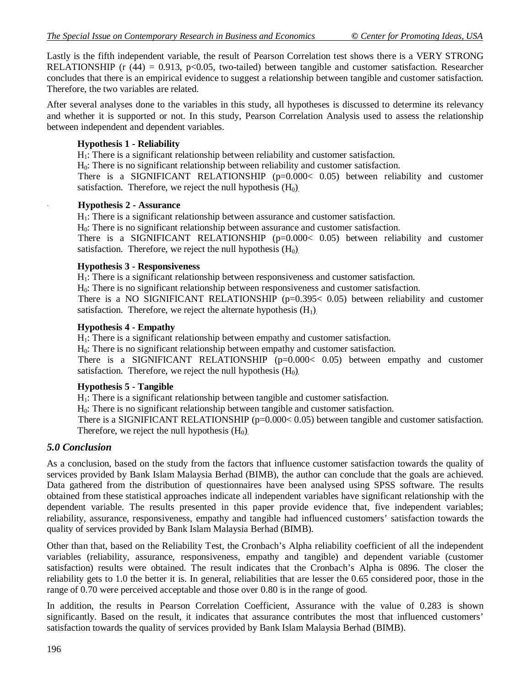Lastly is the fifth independent variable, the result of Pearson Correlation test shows there is a VERY STRONG RELATIONSHIP (r  $(44) = 0.913$ , p<0.05, two-tailed) between tangible and customer satisfaction. Researcher concludes that there is an empirical evidence to suggest a relationship between tangible and customer satisfaction. Therefore, the two variables are related.

After several analyses done to the variables in this study, all hypotheses is discussed to determine its relevancy and whether it is supported or not. In this study, Pearson Correlation Analysis used to assess the relationship between independent and dependent variables.

#### **Hypothesis 1 - Reliability**

H<sub>1</sub>: There is a significant relationship between reliability and customer satisfaction.

 $H<sub>0</sub>$ : There is no significant relationship between reliability and customer satisfaction.

There is a SIGNIFICANT RELATIONSHIP (p=0.000< 0.05) between reliability and customer satisfaction. Therefore, we reject the null hypothesis  $(H_0)$ .

#### ` **Hypothesis 2 - Assurance**

H<sub>1</sub>: There is a significant relationship between assurance and customer satisfaction.

 $H<sub>0</sub>$ : There is no significant relationship between assurance and customer satisfaction.

There is a SIGNIFICANT RELATIONSHIP (p=0.000< 0.05) between reliability and customer satisfaction. Therefore, we reject the null hypothesis  $(H_0)$ .

#### **Hypothesis 3 - Responsiveness**

H1: There is a significant relationship between responsiveness and customer satisfaction.

H0: There is no significant relationship between responsiveness and customer satisfaction.

There is a NO SIGNIFICANT RELATIONSHIP  $(p=0.395 < 0.05)$  between reliability and customer satisfaction. Therefore, we reject the alternate hypothesis  $(H_1)$ .

#### **Hypothesis 4 - Empathy**

H<sub>1</sub>: There is a significant relationship between empathy and customer satisfaction.

H0: There is no significant relationship between empathy and customer satisfaction.

There is a SIGNIFICANT RELATIONSHIP  $(p=0.000< 0.05)$  between empathy and customer satisfaction. Therefore, we reject the null hypothesis  $(H_0)$ .

#### **Hypothesis 5 - Tangible**

H1: There is a significant relationship between tangible and customer satisfaction.

 $H<sub>0</sub>$ : There is no significant relationship between tangible and customer satisfaction.

There is a SIGNIFICANT RELATIONSHIP (p=0.000 < 0.05) between tangible and customer satisfaction. Therefore, we reject the null hypothesis  $(H_0)$ .

#### *5.0 Conclusion*

As a conclusion, based on the study from the factors that influence customer satisfaction towards the quality of services provided by Bank Islam Malaysia Berhad (BIMB), the author can conclude that the goals are achieved. Data gathered from the distribution of questionnaires have been analysed using SPSS software. The results obtained from these statistical approaches indicate all independent variables have significant relationship with the dependent variable. The results presented in this paper provide evidence that, five independent variables; reliability, assurance, responsiveness, empathy and tangible had influenced customers' satisfaction towards the quality of services provided by Bank Islam Malaysia Berhad (BIMB).

Other than that, based on the Reliability Test, the Cronbach's Alpha reliability coefficient of all the independent variables (reliability, assurance, responsiveness, empathy and tangible) and dependent variable (customer satisfaction) results were obtained. The result indicates that the Cronbach's Alpha is 0896. The closer the reliability gets to 1.0 the better it is. In general, reliabilities that are lesser the 0.65 considered poor, those in the range of 0.70 were perceived acceptable and those over 0.80 is in the range of good.

In addition, the results in Pearson Correlation Coefficient, Assurance with the value of 0.283 is shown significantly. Based on the result, it indicates that assurance contributes the most that influenced customers' satisfaction towards the quality of services provided by Bank Islam Malaysia Berhad (BIMB).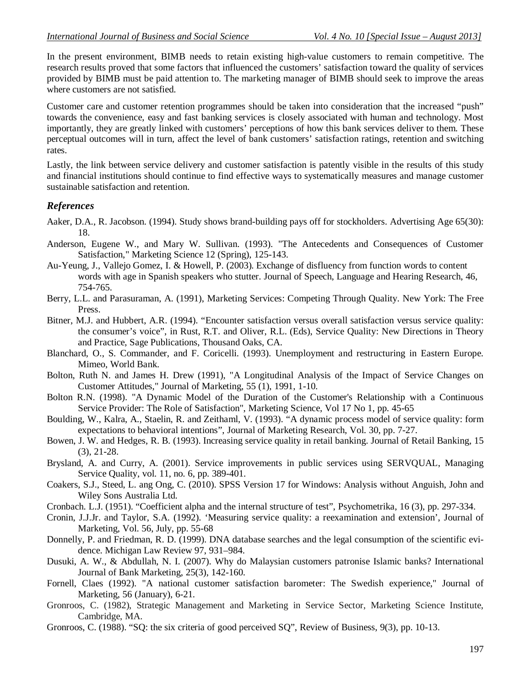In the present environment, BIMB needs to retain existing high-value customers to remain competitive. The research results proved that some factors that influenced the customers' satisfaction toward the quality of services provided by BIMB must be paid attention to. The marketing manager of BIMB should seek to improve the areas where customers are not satisfied.

Customer care and customer retention programmes should be taken into consideration that the increased "push" towards the convenience, easy and fast banking services is closely associated with human and technology. Most importantly, they are greatly linked with customers' perceptions of how this bank services deliver to them. These perceptual outcomes will in turn, affect the level of bank customers' satisfaction ratings, retention and switching rates.

Lastly, the link between service delivery and customer satisfaction is patently visible in the results of this study and financial institutions should continue to find effective ways to systematically measures and manage customer sustainable satisfaction and retention.

#### *References*

- Aaker, D.A., R. Jacobson. (1994). Study shows brand-building pays off for stockholders. Advertising Age 65(30): 18.
- Anderson, Eugene W., and Mary W. Sullivan. (1993). "The Antecedents and Consequences of Customer Satisfaction," Marketing Science 12 (Spring), 125-143.
- Au-Yeung, J., Vallejo Gomez, I. & Howell, P. (2003). Exchange of disfluency from function words to content words with age in Spanish speakers who stutter. Journal of Speech, Language and Hearing Research, 46, 754-765.
- Berry, L.L. and Parasuraman, A. (1991), Marketing Services: Competing Through Quality. New York: The Free Press.
- Bitner, M.J. and Hubbert, A.R. (1994). "Encounter satisfaction versus overall satisfaction versus service quality: the consumer's voice", in Rust, R.T. and Oliver, R.L. (Eds), Service Quality: New Directions in Theory and Practice, Sage Publications, Thousand Oaks, CA.
- Blanchard, O., S. Commander, and F. Coricelli. (1993). Unemployment and restructuring in Eastern Europe. Mimeo, World Bank.
- Bolton, Ruth N. and James H. Drew (1991), "A Longitudinal Analysis of the Impact of Service Changes on Customer Attitudes," Journal of Marketing, 55 (1), 1991, 1-10.
- Bolton R.N. (1998). "A Dynamic Model of the Duration of the Customer's Relationship with a Continuous Service Provider: The Role of Satisfaction", Marketing Science, Vol 17 No 1, pp. 45-65
- Boulding, W., Kalra, A., Staelin, R. and Zeithaml, V. (1993). "A dynamic process model of service quality: form expectations to behavioral intentions", Journal of Marketing Research, Vol. 30, pp. 7-27.
- Bowen, J. W. and Hedges, R. B. (1993). Increasing service quality in retail banking. Journal of Retail Banking, 15 (3), 21-28.
- Brysland, A. and Curry, A. (2001). Service improvements in public services using SERVQUAL, Managing Service Quality, vol. 11, no. 6, pp. 389-401.
- Coakers, S.J., Steed, L. ang Ong, C. (2010). SPSS Version 17 for Windows: Analysis without Anguish, John and Wiley Sons Australia Ltd.
- Cronbach. L.J. (1951). "Coefficient alpha and the internal structure of test", Psychometrika, 16 (3), pp. 297-334.
- Cronin, J.J.Jr. and Taylor, S.A. (1992). 'Measuring service quality: a reexamination and extension', Journal of Marketing, Vol. 56, July, pp. 55-68
- Donnelly, P. and Friedman, R. D. (1999). DNA database searches and the legal consumption of the scientific evidence. Michigan Law Review 97, 931–984.
- Dusuki, A. W., & Abdullah, N. I. (2007). Why do Malaysian customers patronise Islamic banks? International Journal of Bank Marketing, 25(3), 142-160.
- Fornell, Claes (1992). "A national customer satisfaction barometer: The Swedish experience," Journal of Marketing, 56 (January), 6-21.
- Gronroos, C. (1982), Strategic Management and Marketing in Service Sector, Marketing Science Institute, Cambridge, MA.
- Gronroos, C. (1988). "SQ: the six criteria of good perceived SQ", Review of Business, 9(3), pp. 10-13.